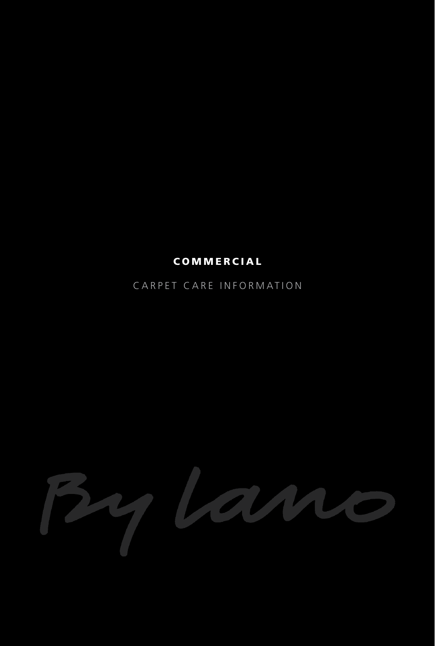# COMMERCIAL

CARPET CARE INFORMATION

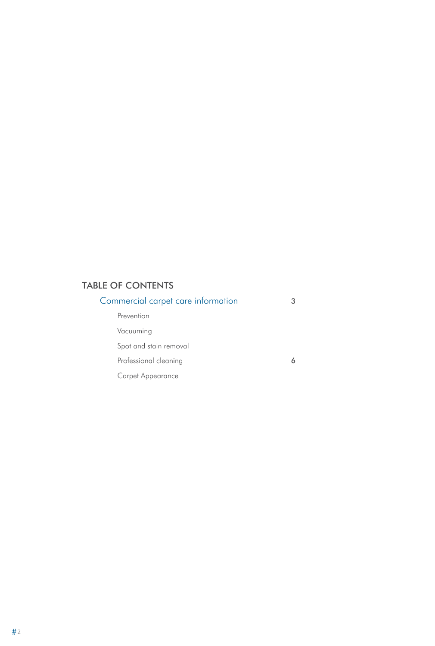## TABLE OF CONTENTS

| Commercial carpet care information |  |
|------------------------------------|--|
| Prevention                         |  |
| Vacuuming                          |  |
| Spot and stain removal             |  |
| Professional cleaning              |  |
| Carpet Appearance                  |  |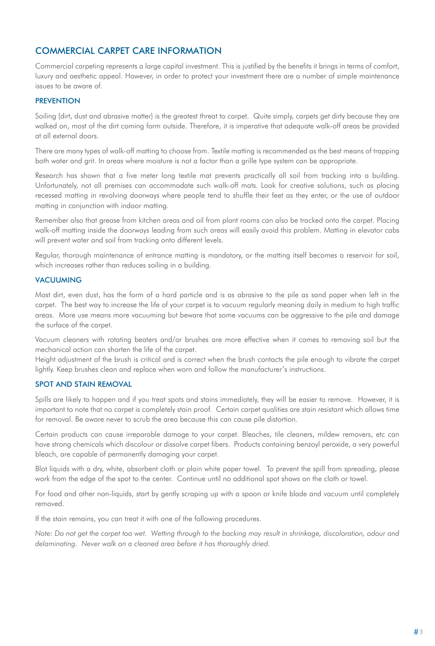## Commercial Carpet Care Information

Commercial carpeting represents a large capital investment. This is justified by the benefits it brings in terms of comfort, luxury and aesthetic appeal. However, in order to protect your investment there are a number of simple maintenance issues to be aware of.

## **PREVENTION**

Soiling (dirt, dust and abrasive matter) is the greatest threat to carpet. Quite simply, carpets get dirty because they are walked on, most of the dirt coming form outside. Therefore, it is imperative that adequate walk-off areas be provided at all external doors.

There are many types of walk-off matting to choose from. Textile matting is recommended as the best means of trapping both water and grit. In areas where moisture is not a factor than a grille type system can be appropriate.

Research has shown that a five meter long textile mat prevents practically all soil from tracking into a building. Unfortunately, not all premises can accommodate such walk-off mats. Look for creative solutions, such as placing recessed matting in revolving doorways where people tend to shuffle their feet as they enter, or the use of outdoor matting in conjunction with indoor matting.

Remember also that grease from kitchen areas and oil from plant rooms can also be tracked onto the carpet. Placing walk-off matting inside the doorways leading from such areas will easily avoid this problem. Matting in elevator cabs will prevent water and soil from tracking onto different levels.

Regular, thorough maintenance of entrance matting is mandatory, or the matting itself becomes a reservoir for soil, which increases rather than reduces soiling in a building.

### **VACUUMING**

Most dirt, even dust, has the form of a hard particle and is as abrasive to the pile as sand paper when left in the carpet. The best way to increase the life of your carpet is to vacuum regularly meaning daily in medium to high traffic areas. More use means more vacuuming but beware that some vacuums can be aggressive to the pile and damage the surface of the carpet.

Vacuum cleaners with rotating beaters and/or brushes are more effective when it comes to removing soil but the mechanical action can shorten the life of the carpet.

Height adjustment of the brush is critical and is correct when the brush contacts the pile enough to vibrate the carpet lightly. Keep brushes clean and replace when worn and follow the manufacturer's instructions.

### spot and stain removal

Spills are likely to happen and if you treat spots and stains immediately, they will be easier to remove. However, it is important to note that no carpet is completely stain proof. Certain carpet qualities are stain resistant which allows time for removal. Be aware never to scrub the area because this can cause pile distortion.

Certain products can cause irreparable damage to your carpet. Bleaches, tile cleaners, mildew removers, etc can have strong chemicals which discolour or dissolve carpet fibers. Products containing benzoyl peroxide, a very powerful bleach, are capable of permanently damaging your carpet.

Blot liquids with a dry, white, absorbent cloth or plain white paper towel. To prevent the spill from spreading, please work from the edge of the spot to the center. Continue until no additional spot shows on the cloth or towel.

For food and other non-liquids, start by gently scraping up with a spoon or knife blade and vacuum until completely removed.

If the stain remains, you can treat it with one of the following procedures.

*Note: Do not get the carpet too wet. Wetting through to the backing may result in shrinkage, discoloration, odour and delaminating. Never walk on a cleaned area before it has thoroughly dried.*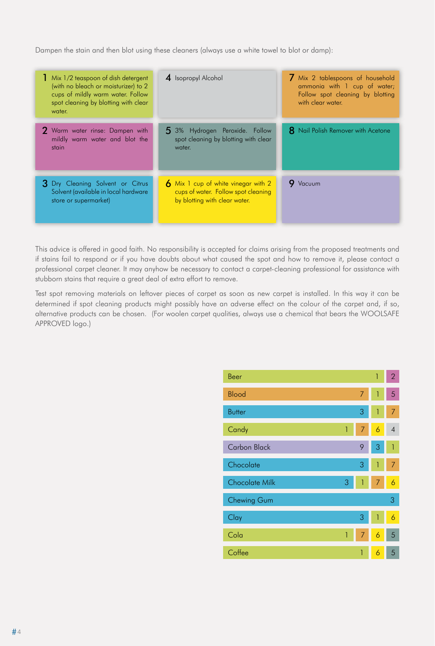Dampen the stain and then blot using these cleaners (always use a white towel to blot or damp):

| Mix 1/2 teaspoon of dish detergent<br>(with no bleach or moisturizer) to 2<br>cups of mildly warm water. Follow<br>spot cleaning by blotting with clear<br>water. | 4 Isopropyl Alcohol                                                                                         | 7 Mix 2 tablespoons of household<br>ammonia with 1 cup of water;<br>Follow spot cleaning by blotting<br>with clear water. |
|-------------------------------------------------------------------------------------------------------------------------------------------------------------------|-------------------------------------------------------------------------------------------------------------|---------------------------------------------------------------------------------------------------------------------------|
| 2 Warm water rinse: Dampen with<br>mildly warm water and blot the<br>stain                                                                                        | 5 3% Hydrogen Peroxide. Follow<br>spot cleaning by blotting with clear<br>water.                            | <b>8</b> Nail Polish Remover with Acetone                                                                                 |
| 3 Dry Cleaning Solvent or Citrus<br>Solvent (available in local hardware<br>store or supermarket)                                                                 | 6 Mix 1 cup of white vinegar with 2<br>cups of water. Follow spot cleaning<br>by blotting with clear water. | 9 Vacuum                                                                                                                  |

This advice is offered in good faith. No responsibility is accepted for claims arising from the proposed treatments and if stains fail to respond or if you have doubts about what caused the spot and how to remove it, please contact a professional carpet cleaner. It may anyhow be necessary to contact a carpet-cleaning professional for assistance with stubborn stains that require a great deal of extra effort to remove.

Test spot removing materials on leftover pieces of carpet as soon as new carpet is installed. In this way it can be determined if spot cleaning products might possibly have an adverse effect on the colour of the carpet and, if so, alternative products can be chosen. (For woolen carpet qualities, always use a chemical that bears the WOOLSAFE APPROVED logo.)

| Beer                  |   |   | 1 | $\overline{2}$ |
|-----------------------|---|---|---|----------------|
| <b>Blood</b>          |   | 7 | 1 | 5              |
| <b>Butter</b>         |   | 3 | 1 | 7              |
| Candy                 | 1 | 7 | 6 | $\overline{4}$ |
| <b>Carbon Black</b>   |   | 9 | 3 | $\mathbf{1}$   |
| Chocolate             |   | 3 | 1 | 7              |
| <b>Chocolate Milk</b> | 3 | 1 | 7 | 6              |
| Chewing Gum           |   |   |   | 3              |
| Clay                  |   | 3 | 1 | 6              |
| Cola                  | 1 | 7 | 6 | 5              |
| Coffee                |   | 1 | 6 | 5              |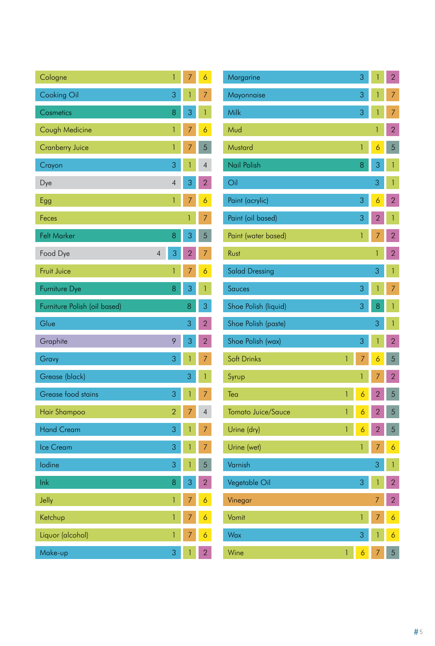| Cologne                      | 1              | 7              | 6              |
|------------------------------|----------------|----------------|----------------|
| Cooking Oil                  | 3              | $\mathbf{1}$   | 7              |
| Cosmetics                    | 8              | 3              | 1              |
| Cough Medicine               | 1              | 7              | 6              |
| <b>Cranberry Juice</b>       | 1              | 7              | 5              |
| Crayon                       | 3              | 1              | $\overline{4}$ |
| Dye                          | $\overline{4}$ | 3              | $\overline{2}$ |
| Egg                          | 1              | 7              | 6              |
| Feces                        |                | 1              | 7              |
| <b>Felt Marker</b>           | 8              | 3              | 5              |
| Food Dye<br>4                | 3              | $\overline{2}$ | 7              |
| <b>Fruit Juice</b>           | 1              | 7              | 6              |
| Furniture Dye                | 8              | 3              | $\mathbf{1}$   |
| Furniture Polish (oil based) |                | 8              | 3              |
| Glue                         |                | 3              | $\overline{2}$ |
| Graphite                     | 9              | 3              | $\overline{2}$ |
| Gravy                        | 3              | 1              | 7              |
| Grease (black)               |                | 3              | 1              |
| <b>Grease food stains</b>    | 3              | 1              | 7              |
| Hair Shampoo                 | $\overline{2}$ | 7              | $\overline{4}$ |
| <b>Hand Cream</b>            | 3              | 1              | 7              |
| Ice Cream                    | 3              | 1              | 7              |
| lodine                       | 3              | 1              | 5              |
| lnk                          | 8              | 3              | $\overline{2}$ |
| Jelly                        | 1              | 7              | 6              |
| Ketchup                      | 1              | 7              | $\overline{6}$ |
| Liquor (alcohol)             | 1              | 7              | 6              |
| Make-up                      | 3              | 1              | $\overline{2}$ |

| Margarine             |   | 3 | 1                   | $\overline{2}$      |
|-----------------------|---|---|---------------------|---------------------|
| Mayonnaise            |   | 3 | 1                   | 7                   |
| Milk                  |   | 3 | $\mathbf{1}$        | 7                   |
| Mud                   |   |   | 1                   | $\overline{2}$      |
| Mustard               |   | 1 | 6                   | 5                   |
| Nail Polish           |   | 8 | 3                   | 1                   |
| Oil                   |   |   | 3                   | 1                   |
| Paint (acrylic)       |   | 3 | $\ddot{\mathbf{6}}$ | $\overline{2}$      |
| Paint (oil based)     |   | 3 | $\overline{2}$      | $\mathbf{1}$        |
| Paint (water based)   |   | 1 | 7                   | $\overline{2}$      |
| Rust                  |   |   | 1                   | $\overline{2}$      |
| <b>Salad Dressing</b> |   |   | 3                   | 1                   |
| Sauces                |   | 3 | $\mathbf{1}$        | 7                   |
| Shoe Polish (liquid)  |   | 3 | 8                   | 1                   |
|                       |   |   |                     |                     |
| Shoe Polish (paste)   |   |   | 3                   | 1                   |
| Shoe Polish (wax)     |   | 3 | 1                   | $\overline{2}$      |
| Soft Drinks           | 1 | 7 | 6                   | 5                   |
| Syrup                 |   | 1 | 7                   | $\overline{2}$      |
| Tea                   | 1 | 6 |                     | 5                   |
| Tomato Juice/Sauce    | 1 | 6 | $\overline{2}$      | 5                   |
| Urine (dry)           | 1 | 6 | $\overline{2}$      | 5                   |
| Urine (wet)           |   | 1 | 7                   | 6                   |
| Varnish               |   |   | 3                   | 1                   |
| Vegetable Oil         |   | 3 | 1                   | $\overline{2}$      |
| Vinegar               |   |   | 7                   | $\overline{2}$      |
| Vomit                 |   | 1 | 7                   | $\ddot{\mathbf{6}}$ |
| Wax                   |   | 3 | 1                   | $\ddot{\mathbf{6}}$ |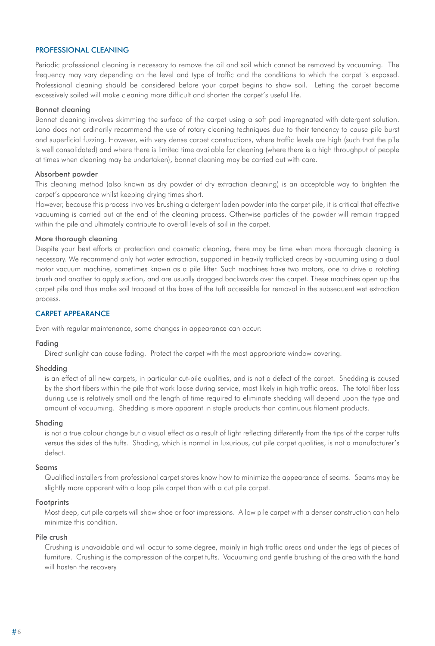## Professional cleaning

Periodic professional cleaning is necessary to remove the oil and soil which cannot be removed by vacuuming. The frequency may vary depending on the level and type of traffic and the conditions to which the carpet is exposed. Professional cleaning should be considered before your carpet begins to show soil. Letting the carpet become excessively soiled will make cleaning more difficult and shorten the carpet's useful life.

### Bonnet cleaning

Bonnet cleaning involves skimming the surface of the carpet using a soft pad impregnated with detergent solution. Lano does not ordinarily recommend the use of rotary cleaning techniques due to their tendency to cause pile burst and superficial fuzzing. However, with very dense carpet constructions, where traffic levels are high (such that the pile is well consolidated) and where there is limited time available for cleaning (where there is a high throughput of people at times when cleaning may be undertaken), bonnet cleaning may be carried out with care.

#### Absorbent powder

This cleaning method (also known as dry powder of dry extraction cleaning) is an acceptable way to brighten the carpet's appearance whilst keeping drying times short.

However, because this process involves brushing a detergent laden powder into the carpet pile, it is critical that effective vacuuming is carried out at the end of the cleaning process. Otherwise particles of the powder will remain trapped within the pile and ultimately contribute to overall levels of soil in the carpet.

#### More thorough cleaning

Despite your best efforts at protection and cosmetic cleaning, there may be time when more thorough cleaning is necessary. We recommend only hot water extraction, supported in heavily trafficked areas by vacuuming using a dual motor vacuum machine, sometimes known as a pile lifter. Such machines have two motors, one to drive a rotating brush and another to apply suction, and are usually dragged backwards over the carpet. These machines open up the carpet pile and thus make soil trapped at the base of the tuft accessible for removal in the subsequent wet extraction process.

## CARPET APPEARANCE

Even with regular maintenance, some changes in appearance can occur:

#### Fading

Direct sunlight can cause fading. Protect the carpet with the most appropriate window covering.

#### Shedding

is an effect of all new carpets, in particular cut-pile qualities, and is not a defect of the carpet. Shedding is caused by the short fibers within the pile that work loose during service, most likely in high traffic areas. The total fiber loss during use is relatively small and the length of time required to eliminate shedding will depend upon the type and amount of vacuuming. Shedding is more apparent in staple products than continuous filament products.

#### Shading

is not a true colour change but a visual effect as a result of light reflecting differently from the tips of the carpet tufts versus the sides of the tufts. Shading, which is normal in luxurious, cut pile carpet qualities, is not a manufacturer's defect.

#### Seams

Qualified installers from professional carpet stores know how to minimize the appearance of seams. Seams may be slightly more apparent with a loop pile carpet than with a cut pile carpet.

#### **Footprints**

Most deep, cut pile carpets will show shoe or foot impressions. A low pile carpet with a denser construction can help minimize this condition.

## Pile crush

Crushing is unavoidable and will occur to some degree, mainly in high traffic areas and under the legs of pieces of furniture. Crushing is the compression of the carpet tufts. Vacuuming and gentle brushing of the area with the hand will hasten the recovery.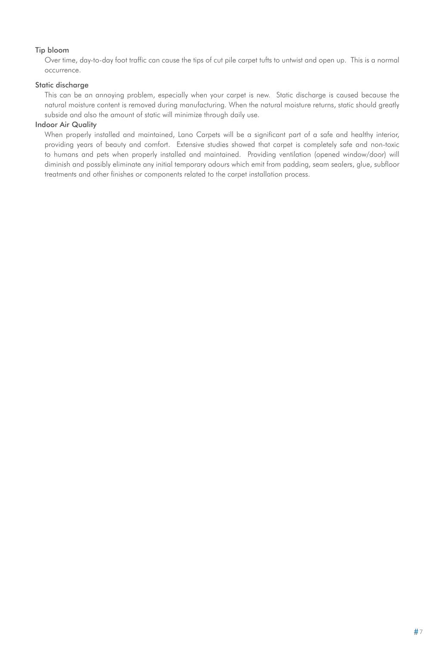## Tip bloom

Over time, day-to-day foot traffic can cause the tips of cut pile carpet tufts to untwist and open up. This is a normal occurrence.

### Static discharge

This can be an annoying problem, especially when your carpet is new. Static discharge is caused because the natural moisture content is removed during manufacturing. When the natural moisture returns, static should greatly subside and also the amount of static will minimize through daily use.

## Indoor Air Quality

When properly installed and maintained, Lano Carpets will be a significant part of a safe and healthy interior, providing years of beauty and comfort. Extensive studies showed that carpet is completely safe and non-toxic to humans and pets when properly installed and maintained. Providing ventilation (opened window/door) will diminish and possibly eliminate any initial temporary odours which emit from padding, seam sealers, glue, subfloor treatments and other finishes or components related to the carpet installation process.